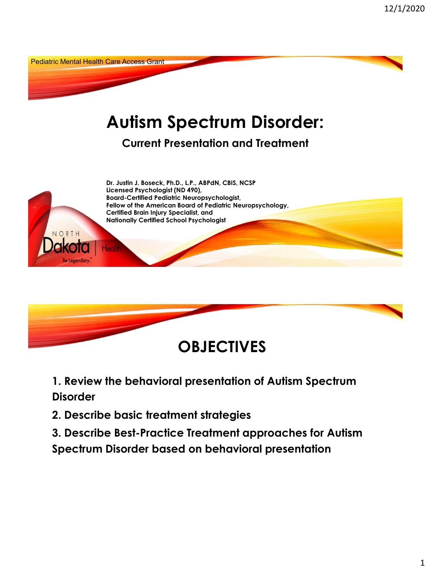



**1. Review the behavioral presentation of Autism Spectrum Disorder**

**2. Describe basic treatment strategies**

**3. Describe Best-Practice Treatment approaches for Autism Spectrum Disorder based on behavioral presentation**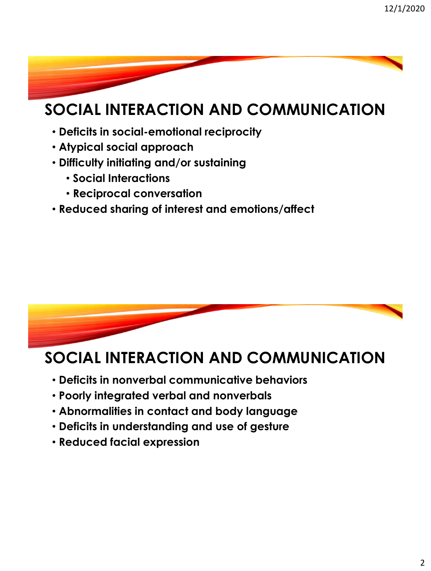## **SOCIAL INTERACTION AND COMMUNICATION**

- **Deficits in social-emotional reciprocity**
- **Atypical social approach**
- **Difficulty initiating and/or sustaining** 
	- **Social Interactions**
	- **Reciprocal conversation**
- **Reduced sharing of interest and emotions/affect**



## **SOCIAL INTERACTION AND COMMUNICATION**

- **Deficits in nonverbal communicative behaviors**
- **Poorly integrated verbal and nonverbals**
- **Abnormalities in contact and body language**
- **Deficits in understanding and use of gesture**
- **Reduced facial expression**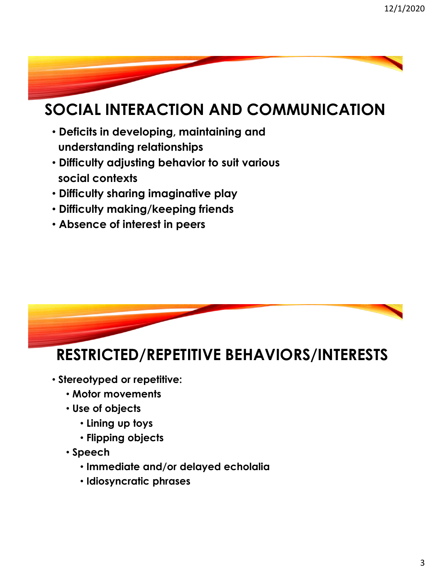## **SOCIAL INTERACTION AND COMMUNICATION**

- **Deficits in developing, maintaining and understanding relationships**
- **Difficulty adjusting behavior to suit various social contexts**
- **Difficulty sharing imaginative play**
- **Difficulty making/keeping friends**
- **Absence of interest in peers**



## **RESTRICTED/REPETITIVE BEHAVIORS/INTERESTS**

- **Stereotyped or repetitive:** 
	- **Motor movements**
	- **Use of objects**
		- **Lining up toys**
		- **Flipping objects**
	- **Speech** 
		- **Immediate and/or delayed echolalia**
		- **Idiosyncratic phrases**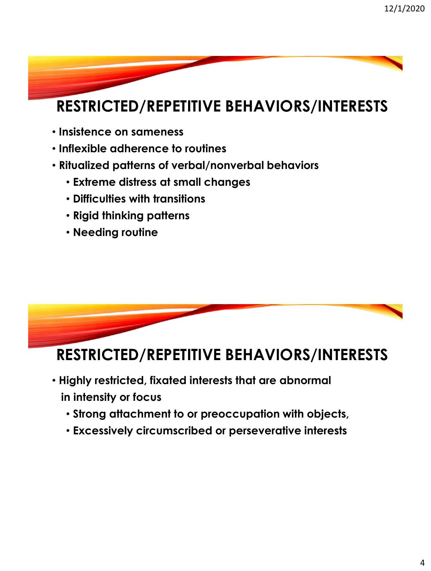## **RESTRICTED/REPETITIVE BEHAVIORS/INTERESTS**

- **Insistence on sameness**
- **Inflexible adherence to routines**
- **Ritualized patterns of verbal/nonverbal behaviors**
	- **Extreme distress at small changes**
	- **Difficulties with transitions**
	- **Rigid thinking patterns**
	- **Needing routine**



## **RESTRICTED/REPETITIVE BEHAVIORS/INTERESTS**

- **Highly restricted, fixated interests that are abnormal in intensity or focus** 
	- **Strong attachment to or preoccupation with objects,**
	- **Excessively circumscribed or perseverative interests**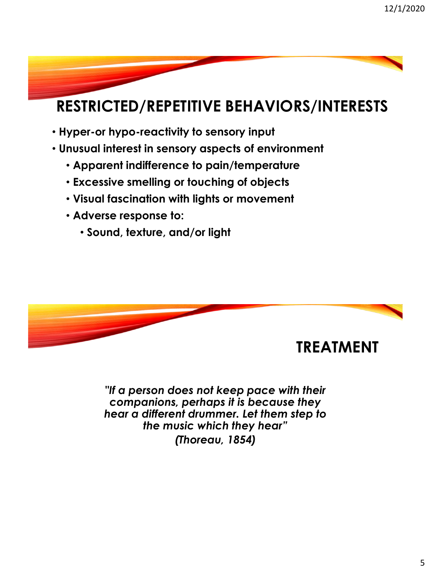## **RESTRICTED/REPETITIVE BEHAVIORS/INTERESTS**

- **Hyper-or hypo-reactivity to sensory input**
- **Unusual interest in sensory aspects of environment**
	- **Apparent indifference to pain/temperature**
	- **Excessive smelling or touching of objects**
	- **Visual fascination with lights or movement**
	- **Adverse response to:** 
		- **Sound, texture, and/or light**



*"If a person does not keep pace with their companions, perhaps it is because they hear a different drummer. Let them step to the music which they hear" (Thoreau, 1854)*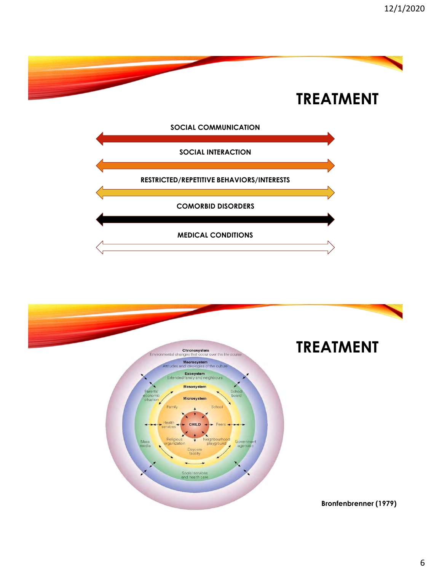

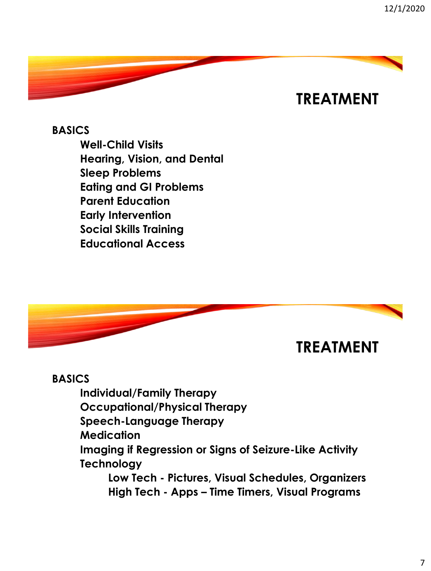## **TREATMENT**

**BASICS Well-Child Visits Hearing, Vision, and Dental Sleep Problems Eating and GI Problems Parent Education Early Intervention Social Skills Training Educational Access**



### **BASICS**

**Individual/Family Therapy** 

**Occupational/Physical Therapy**

**Speech-Language Therapy**

**Medication**

**Imaging if Regression or Signs of Seizure-Like Activity Technology**

**Low Tech - Pictures, Visual Schedules, Organizers High Tech - Apps – Time Timers, Visual Programs**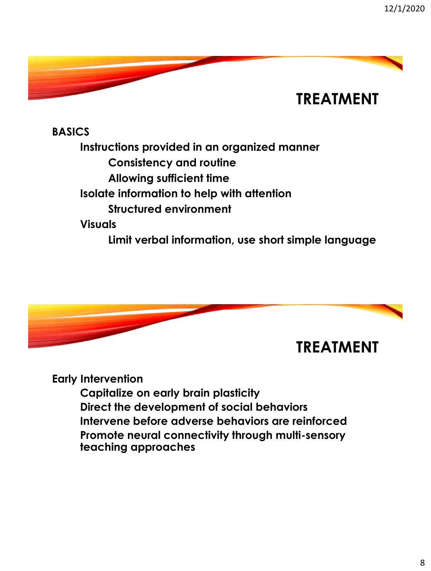

**BASICS Instructions provided in an organized manner Consistency and routine Allowing sufficient time Isolate information to help with attention Structured environment Visuals Limit verbal information, use short simple language**



**Early Intervention**

**Capitalize on early brain plasticity Direct the development of social behaviors Intervene before adverse behaviors are reinforced Promote neural connectivity through multi-sensory teaching approaches**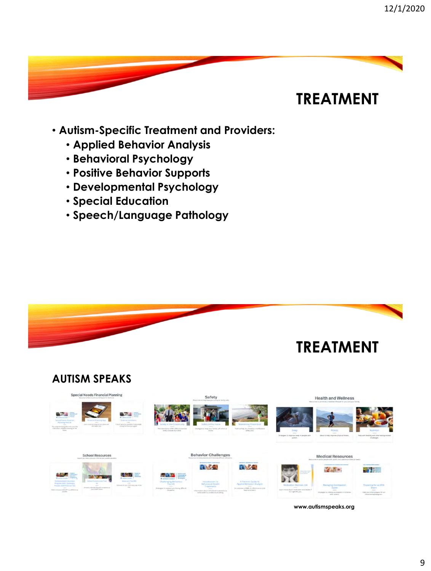## **TREATMENT**

- **Autism-Specific Treatment and Providers:**
	- **Applied Behavior Analysis**
	- **Behavioral Psychology**
	- **Positive Behavior Supports**
	- **Developmental Psychology**
	- **Special Education**
	- **Speech/Language Pathology**



**www.autismspeaks.org**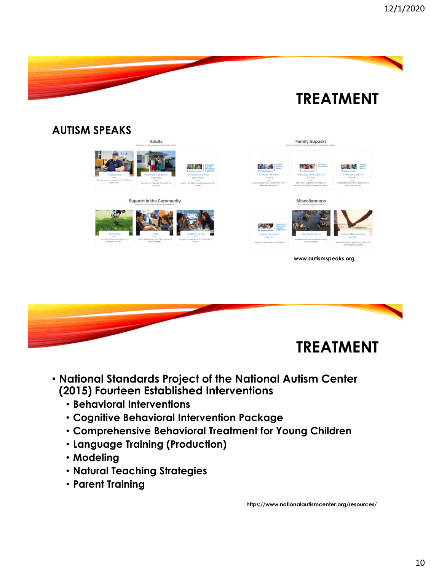

### **AUTISM SPEAKS** Adults **Family Support** 8149 的复数一 **BRANCH AND THE REAL** Support in the Community Miscellaneous 71 J **www.autismspeaks.org**



### • **National Standards Project of the National Autism Center (2015) Fourteen Established Interventions**

- **Behavioral Interventions**
- **Cognitive Behavioral Intervention Package**
- **Comprehensive Behavioral Treatment for Young Children**
- **Language Training (Production)**
- **Modeling**
- **Natural Teaching Strategies**
- **Parent Training**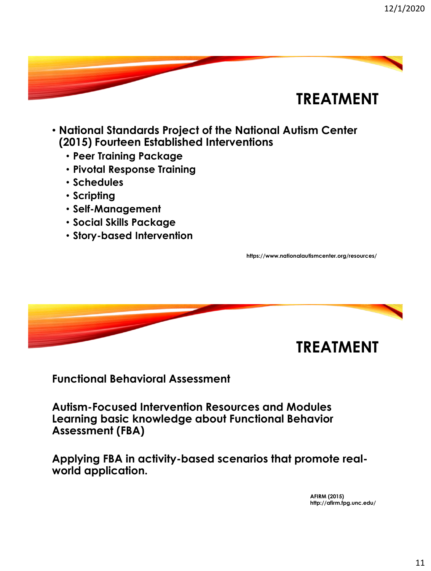

- **National Standards Project of the National Autism Center (2015) Fourteen Established Interventions**
	- **Peer Training Package**
	- **Pivotal Response Training**
	- **Schedules**
	- **Scripting**
	- **Self-Management**
	- **Social Skills Package**
	- **Story-based Intervention**

**https://www.nationalautismcenter.org/resources/**



**Functional Behavioral Assessment**

**Autism-Focused Intervention Resources and Modules Learning basic knowledge about Functional Behavior Assessment (FBA)**

**Applying FBA in activity-based scenarios that promote realworld application.** 

> **AFIRM (2015) http://afirm.fpg.unc.edu/**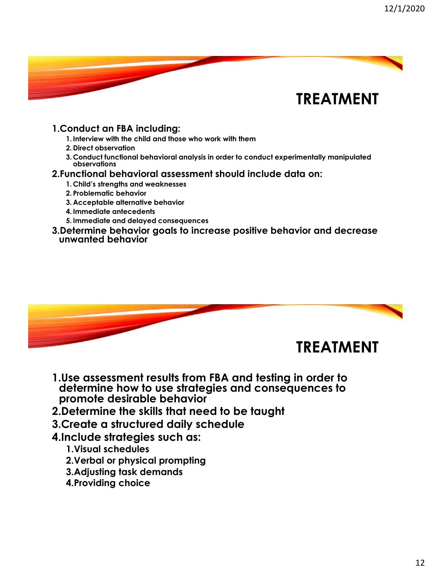

#### **1.Conduct an FBA including:**

- **1. Interview with the child and those who work with them**
- **2. Direct observation**
- **3. Conduct functional behavioral analysis in order to conduct experimentally manipulated observations**

#### **2.Functional behavioral assessment should include data on:**

- **1. Child's strengths and weaknesses**
- **2. Problematic behavior**
- **3. Acceptable alternative behavior**
- **4. Immediate antecedents**
- **5. Immediate and delayed consequences**
- **3.Determine behavior goals to increase positive behavior and decrease unwanted behavior**



- **1.Use assessment results from FBA and testing in order to determine how to use strategies and consequences to promote desirable behavior**
- **2.Determine the skills that need to be taught**
- **3.Create a structured daily schedule**
- **4.Include strategies such as:**
	- **1.Visual schedules**
	- **2.Verbal or physical prompting**
	- **3.Adjusting task demands**
	- **4.Providing choice**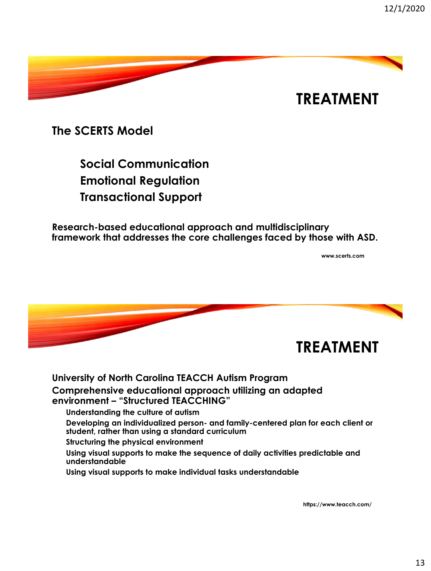

**The SCERTS Model**

**Social Communication Emotional Regulation Transactional Support** 

**Research-based educational approach and multidisciplinary framework that addresses the core challenges faced by those with ASD.**

**www.scerts.com**



### **University of North Carolina TEACCH Autism Program Comprehensive educational approach utilizing an adapted environment – "Structured TEACCHING" Understanding the culture of autism Developing an individualized person- and family-centered plan for each client or**

**student, rather than using a standard curriculum**

**Structuring the physical environment**

**Using visual supports to make the sequence of daily activities predictable and understandable**

**Using visual supports to make individual tasks understandable**

**https://www.teacch.com/**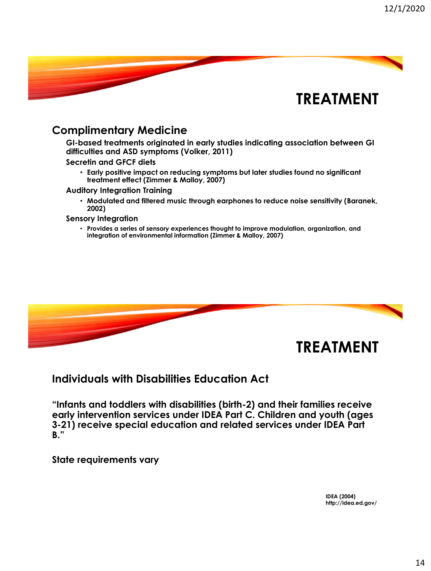

### **Complimentary Medicine**

**GI-based treatments originated in early studies indicating association between GI difficulties and ASD symptoms (Volker, 2011)**

**Secretin and GFCF diets**

• **Early positive impact on reducing symptoms but later studies found no significant treatment effect (Zimmer & Malloy, 2007)**

**Auditory Integration Training**

• **Modulated and filtered music through earphones to reduce noise sensitivity (Baranek, 2002)**

#### **Sensory Integration**

• **Provides a series of sensory experiences thought to improve modulation, organization, and integration of environmental information (Zimmer & Malloy, 2007)**



### **Individuals with Disabilities Education Act**

**"Infants and toddlers with disabilities (birth-2) and their families receive early intervention services under IDEA Part C. Children and youth (ages 3-21) receive special education and related services under IDEA Part B."**

**State requirements vary**

**IDEA (2004) http://idea.ed.gov/**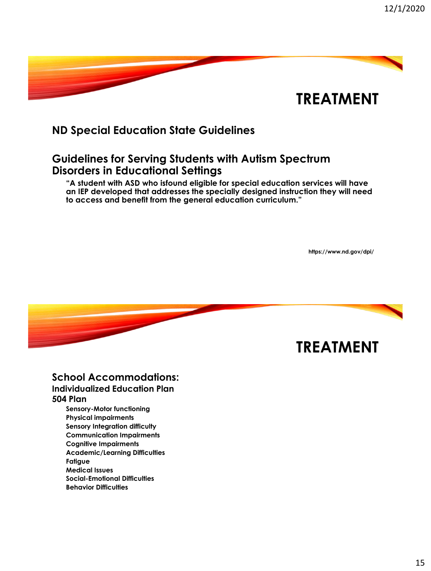

### **ND Special Education State Guidelines**

### **Guidelines for Serving Students with Autism Spectrum Disorders in Educational Settings**

**"A student with ASD who isfound eligible for special education services will have an IEP developed that addresses the specially designed instruction they will need to access and benefit from the general education curriculum."**

**https://www.nd.gov/dpi/**



#### **School Accommodations: Individualized Education Plan 504 Plan**

**Sensory-Motor functioning Physical impairments Sensory Integration difficulty Communication Impairments Cognitive Impairments Academic/Learning Difficulties Fatigue Medical Issues Social-Emotional Difficulties Behavior Difficulties**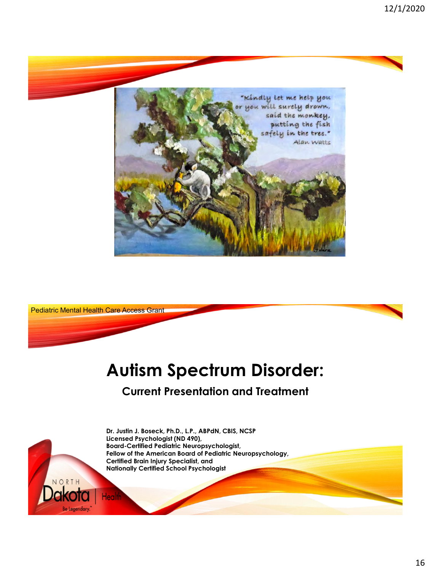



# **Autism Spectrum Disorder:**

### **Current Presentation and Treatment**